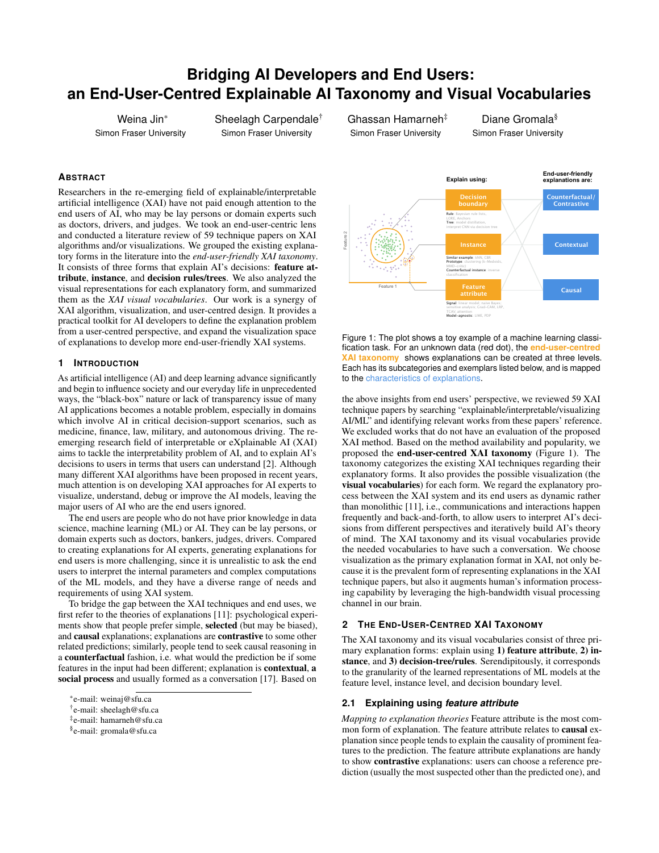# **Bridging AI Developers and End Users: an End-User-Centred Explainable AI Taxonomy and Visual Vocabularies**

Weina Jin\* Simon Fraser University Sheelagh Carpendale† Simon Fraser University

Ghassan Hamarneh‡ Simon Fraser University

Diane Gromala<sup>§</sup> Simon Fraser University

## **ABSTRACT**

Researchers in the re-emerging field of explainable/interpretable artificial intelligence (XAI) have not paid enough attention to the end users of AI, who may be lay persons or domain experts such as doctors, drivers, and judges. We took an end-user-centric lens and conducted a literature review of 59 technique papers on XAI algorithms and/or visualizations. We grouped the existing explanatory forms in the literature into the *end-user-friendly XAI taxonomy*. It consists of three forms that explain AI's decisions: feature attribute, instance, and decision rules/trees. We also analyzed the visual representations for each explanatory form, and summarized them as the *XAI visual vocabularies*. Our work is a synergy of XAI algorithm, visualization, and user-centred design. It provides a practical toolkit for AI developers to define the explanation problem from a user-centred perspective, and expand the visualization space of explanations to develop more end-user-friendly XAI systems.

## **1 INTRODUCTION**

As artificial intelligence (AI) and deep learning advance significantly and begin to influence society and our everyday life in unprecedented ways, the "black-box" nature or lack of transparency issue of many AI applications becomes a notable problem, especially in domains which involve AI in critical decision-support scenarios, such as medicine, finance, law, military, and autonomous driving. The reemerging research field of interpretable or eXplainable AI (XAI) aims to tackle the interpretability problem of AI, and to explain AI's decisions to users in terms that users can understand [\[2\]](#page-1-0). Although many different XAI algorithms have been proposed in recent years, much attention is on developing XAI approaches for AI experts to visualize, understand, debug or improve the AI models, leaving the major users of AI who are the end users ignored.

The end users are people who do not have prior knowledge in data science, machine learning (ML) or AI. They can be lay persons, or domain experts such as doctors, bankers, judges, drivers. Compared to creating explanations for AI experts, generating explanations for end users is more challenging, since it is unrealistic to ask the end users to interpret the internal parameters and complex computations of the ML models, and they have a diverse range of needs and requirements of using XAI system.

To bridge the gap between the XAI techniques and end uses, we first refer to the theories of explanations [\[11\]](#page-1-1): psychological experiments show that people prefer simple, selected (but may be biased), and causal explanations; explanations are contrastive to some other related predictions; similarly, people tend to seek causal reasoning in a counterfactual fashion, i.e. what would the prediction be if some features in the input had been different; explanation is contextual, a social process and usually formed as a conversation [\[17\]](#page-1-2). Based on



<span id="page-0-0"></span>Figure 1: The plot shows a toy example of a machine learning classification task. For an unknown data (red dot), the **end-user-centred XAI taxonomy** shows explanations can be created at three levels. Each has its subcategories and exemplars listed below, and is mapped to the characteristics of explanations.

the above insights from end users' perspective, we reviewed 59 XAI technique papers by searching "explainable/interpretable/visualizing AI/ML" and identifying relevant works from these papers' reference. We excluded works that do not have an evaluation of the proposed XAI method. Based on the method availability and popularity, we proposed the end-user-centred XAI taxonomy (Figure [1\)](#page-0-0). The taxonomy categorizes the existing XAI techniques regarding their explanatory forms. It also provides the possible visualization (the visual vocabularies) for each form. We regard the explanatory process between the XAI system and its end users as dynamic rather than monolithic [\[11\]](#page-1-1), i.e., communications and interactions happen frequently and back-and-forth, to allow users to interpret AI's decisions from different perspectives and iteratively build AI's theory of mind. The XAI taxonomy and its visual vocabularies provide the needed vocabularies to have such a conversation. We choose visualization as the primary explanation format in XAI, not only because it is the prevalent form of representing explanations in the XAI technique papers, but also it augments human's information processing capability by leveraging the high-bandwidth visual processing channel in our brain.

## **2 THE END-USER-CENTRED XAI TAXONOMY**

The XAI taxonomy and its visual vocabularies consist of three primary explanation forms: explain using 1) feature attribute, 2) instance, and 3) decision-tree/rules. Serendipitously, it corresponds to the granularity of the learned representations of ML models at the feature level, instance level, and decision boundary level.

## **2.1 Explaining using** *feature attribute*

*Mapping to explanation theories* Feature attribute is the most common form of explanation. The feature attribute relates to causal explanation since people tends to explain the causality of prominent features to the prediction. The feature attribute explanations are handy to show contrastive explanations: users can choose a reference prediction (usually the most suspected other than the predicted one), and

<sup>\*</sup>e-mail: weinaj@sfu.ca

<sup>†</sup> e-mail: sheelagh@sfu.ca

<sup>‡</sup> e-mail: hamarneh@sfu.ca

<sup>§</sup> e-mail: gromala@sfu.ca